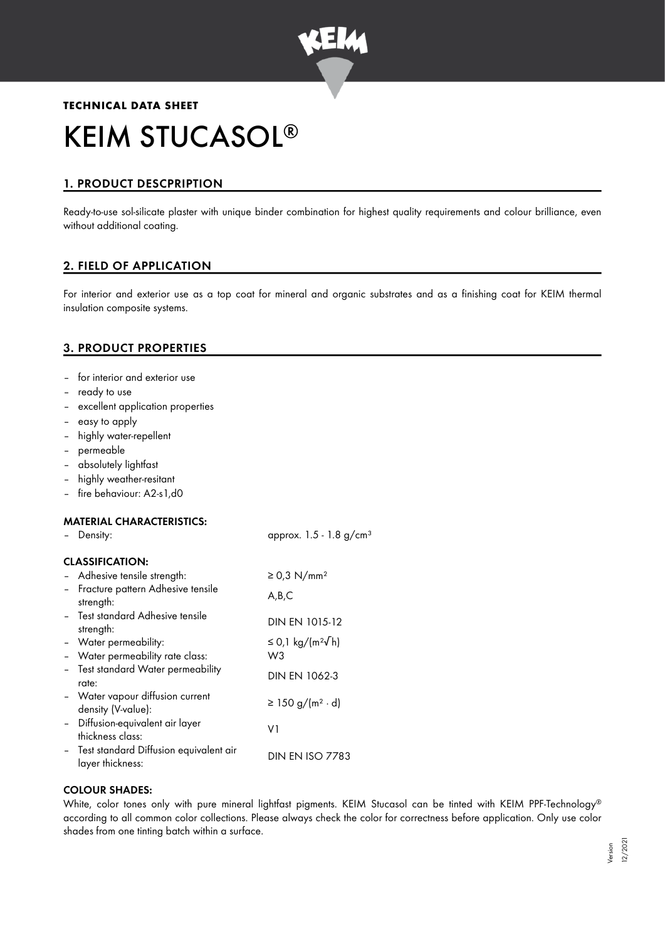

# **TECHNICAL DATA SHEET** KEIM STUCASOL ®

# 1. PRODUCT DESCPRIPTION

Ready-to-use sol-silicate plaster with unique binder combination for highest quality requirements and colour brilliance, even without additional coating.

# 2. FIELD OF APPLICATION

For interior and exterior use as a top coat for mineral and organic substrates and as a finishing coat for KEIM thermal insulation composite systems.

## 3. PRODUCT PROPERTIES

- for interior and exterior use
- ready to use
- excellent application properties
- easy to apply
- highly water-repellent
- permeable
- absolutely lightfast
- highly weather-resitant
- fire behaviour: A2-s1,d0

## MATERIAL CHARACTERISTICS:

| - Density:                                                   | approx. $1.5 - 1.8$ g/cm <sup>3</sup> |
|--------------------------------------------------------------|---------------------------------------|
| <b>CLASSIFICATION:</b>                                       |                                       |
| - Adhesive tensile strength:                                 | $\geq$ 0,3 N/mm <sup>2</sup>          |
| - Fracture pattern Adhesive tensile<br>strength:             | A,B,C                                 |
| - Test standard Adhesive tensile<br>strength:                | DIN EN 1015-12                        |
| - Water permeability:                                        | ≤ 0,1 kg/(m <sup>2</sup> √h)          |
| - Water permeability rate class:                             | W3                                    |
| - Test standard Water permeability<br>rate:                  | <b>DIN EN 1062-3</b>                  |
| - Water vapour diffusion current<br>density (V-value):       | $\geq$ 150 g/(m <sup>2</sup> ⋅ d)     |
| - Diffusion-equivalent air layer<br>thickness class:         | V1                                    |
| - Test standard Diffusion equivalent air<br>layer thickness: | <b>DIN EN ISO 7783</b>                |
|                                                              |                                       |

## COLOUR SHADES:

White, color tones only with pure mineral lightfast pigments. KEIM Stucasol can be tinted with KEIM PPF-Technology ® according to all common color collections. Please always check the color for correctness before application. Only use color shades from one tinting batch within a surface.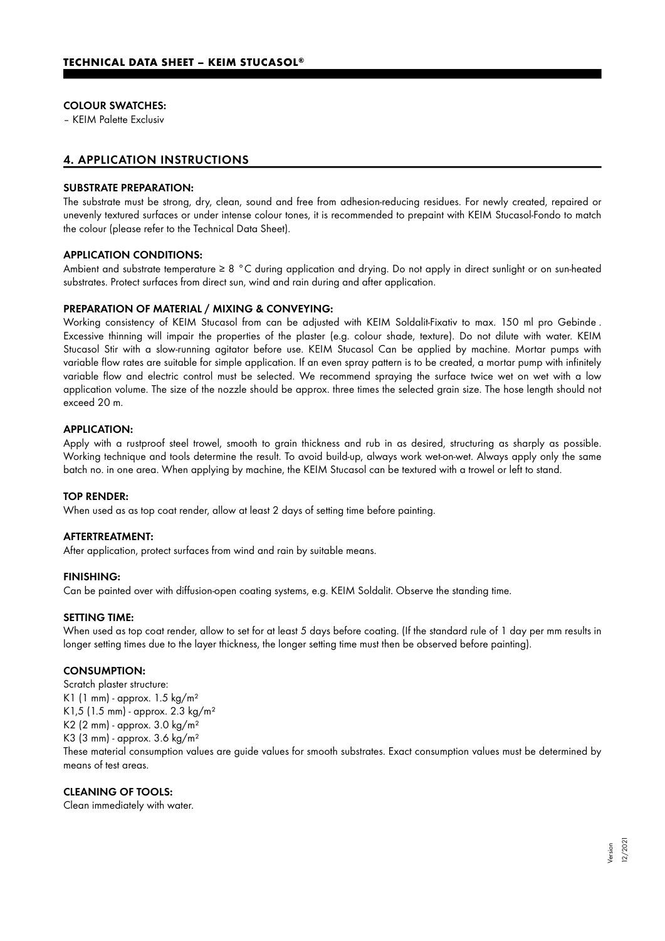#### COLOUR SWATCHES:

– KEIM Palette Exclusiv

## 4. APPLICATION INSTRUCTIONS

#### SUBSTRATE PREPARATION:

The substrate must be strong, dry, clean, sound and free from adhesion-reducing residues. For newly created, repaired or unevenly textured surfaces or under intense colour tones, it is recommended to prepaint with KEIM Stucasol-Fondo to match the colour (please refer to the Technical Data Sheet).

#### APPLICATION CONDITIONS:

Ambient and substrate temperature ≥ 8 °C during application and drying. Do not apply in direct sunlight or on sun-heated substrates. Protect surfaces from direct sun, wind and rain during and after application.

#### PREPARATION OF MATERIAL / MIXING & CONVEYING:

Working consistency of KEIM Stucasol from can be adjusted with KEIM Soldalit-Fixativ to max. 150 ml pro Gebinde . Excessive thinning will impair the properties of the plaster (e.g. colour shade, texture). Do not dilute with water. KEIM Stucasol Stir with a slow-running agitator before use. KEIM Stucasol Can be applied by machine. Mortar pumps with variable flow rates are suitable for simple application. If an even spray pattern is to be created, a mortar pump with infinitely variable flow and electric control must be selected. We recommend spraying the surface twice wet on wet with a low application volume. The size of the nozzle should be approx. three times the selected grain size. The hose length should not exceed 20 m.

#### APPLICATION:

Apply with a rustproof steel trowel, smooth to grain thickness and rub in as desired, structuring as sharply as possible. Working technique and tools determine the result. To avoid build-up, always work wet-on-wet. Always apply only the same batch no. in one area. When applying by machine, the KEIM Stucasol can be textured with a trowel or left to stand.

#### TOP RENDER:

When used as as top coat render, allow at least 2 days of setting time before painting.

#### AFTERTREATMENT:

After application, protect surfaces from wind and rain by suitable means.

#### FINISHING:

Can be painted over with diffusion-open coating systems, e.g. KEIM Soldalit. Observe the standing time.

#### SETTING TIME:

When used as top coat render, allow to set for at least 5 days before coating. (If the standard rule of 1 day per mm results in longer setting times due to the layer thickness, the longer setting time must then be observed before painting).

#### CONSUMPTION:

Scratch plaster structure: K1 (1 mm) - approx. 1.5 kg/m² K1,5 (1.5 mm) - approx. 2.3 kg/m² K2 (2 mm) - approx. 3.0 kg/m² K3 (3 mm) - approx. 3.6 kg/m²

These material consumption values are guide values for smooth substrates. Exact consumption values must be determined by means of test areas.

#### CLEANING OF TOOLS:

Clean immediately with water.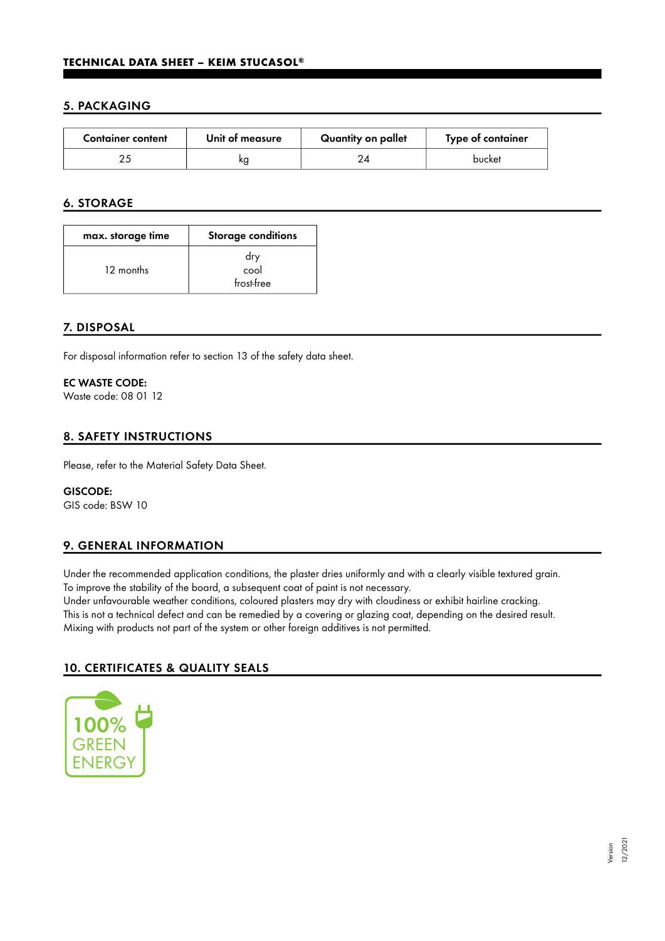## 5. PACKAGING

| <b>Container content</b> | Unit of measure | Quantity on pallet | Type of container |
|--------------------------|-----------------|--------------------|-------------------|
|                          | κg              |                    | bucket            |

## 6. STORAGE

| max. storage time | <b>Storage conditions</b> |
|-------------------|---------------------------|
| 12 months         | dry<br>cool<br>frost-free |

## 7. DISPOSAL

For disposal information refer to section 13 of the safety data sheet.

#### EC WASTE CODE:

Waste code: 08 01 12

## 8. SAFETY INSTRUCTIONS

Please, refer to the Material Safety Data Sheet.

# GISCODE:

GIS code: BSW 10

## 9. GENERAL INFORMATION

Under the recommended application conditions, the plaster dries uniformly and with a clearly visible textured grain. To improve the stability of the board, a subsequent coat of paint is not necessary.

Under unfavourable weather conditions, coloured plasters may dry with cloudiness or exhibit hairline cracking. This is not a technical defect and can be remedied by a covering or glazing coat, depending on the desired result. Mixing with products not part of the system or other foreign additives is not permitted.

## 10. CERTIFICATES & QUALITY SEALS